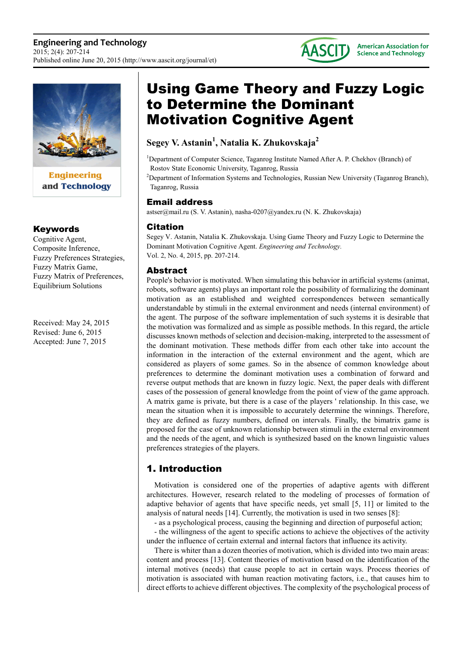



**Engineering** and Technology

# Keywords

Cognitive Agent, Composite Inference, Fuzzy Preferences Strategies, Fuzzy Matrix Game, Fuzzy Matrix of Preferences, Equilibrium Solutions

Received: May 24, 2015 Revised: June 6, 2015 Accepted: June 7, 2015

# Using Game Theory and Fuzzy Logic to Determine the Dominant Motivation Cognitive Agent

# **Segey V. Astanin<sup>1</sup> , Natalia K. Zhukovskaja<sup>2</sup>**

<sup>1</sup>Department of Computer Science, Taganrog Institute Named After A. P. Chekhov (Branch) of Rostov State Economic University, Taganrog, Russia

 $2D$ epartment of Information Systems and Technologies, Russian New University (Taganrog Branch), Taganrog, Russia

# Email address

astser@mail.ru (S. V. Astanin), nasha-0207@yandex.ru (N. K. Zhukovskaja)

## Citation

Segey V. Astanin, Natalia K. Zhukovskaja. Using Game Theory and Fuzzy Logic to Determine the Dominant Motivation Cognitive Agent. *Engineering and Technology.* Vol. 2, No. 4, 2015, pp. 207-214.

## Abstract

People's behavior is motivated. When simulating this behavior in artificial systems (animat, robots, software agents) plays an important role the possibility of formalizing the dominant motivation as an established and weighted correspondences between semantically understandable by stimuli in the external environment and needs (internal environment) of the agent. The purpose of the software implementation of such systems it is desirable that the motivation was formalized and as simple as possible methods. In this regard, the article discusses known methods of selection and decision-making, interpreted to the assessment of the dominant motivation. These methods differ from each other take into account the information in the interaction of the external environment and the agent, which are considered as players of some games. So in the absence of common knowledge about preferences to determine the dominant motivation uses a combination of forward and reverse output methods that are known in fuzzy logic. Next, the paper deals with different cases of the possession of general knowledge from the point of view of the game approach. A matrix game is private, but there is a case of the players ' relationship. In this case, we mean the situation when it is impossible to accurately determine the winnings. Therefore, they are defined as fuzzy numbers, defined on intervals. Finally, the bimatrix game is proposed for the case of unknown relationship between stimuli in the external environment and the needs of the agent, and which is synthesized based on the known linguistic values preferences strategies of the players.

# 1. Introduction

Motivation is considered one of the properties of adaptive agents with different architectures. However, research related to the modeling of processes of formation of adaptive behavior of agents that have specific needs, yet small [5, 11] or limited to the analysis of natural needs [14]. Currently, the motivation is used in two senses [8]:

- as a psychological process, causing the beginning and direction of purposeful action;

- the willingness of the agent to specific actions to achieve the objectives of the activity under the influence of certain external and internal factors that influence its activity.

There is whiter than a dozen theories of motivation, which is divided into two main areas: content and process [13]. Content theories of motivation based on the identification of the internal motives (needs) that cause people to act in certain ways. Process theories of motivation is associated with human reaction motivating factors, i.e., that causes him to direct efforts to achieve different objectives. The complexity of the psychological process of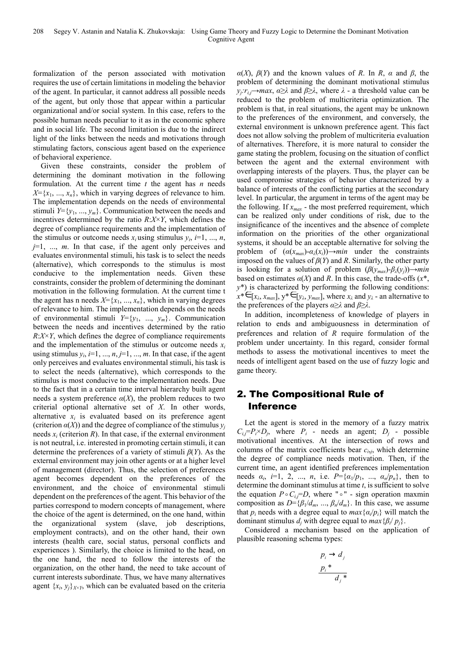formalization of the person associated with motivation requires the use of certain limitations in modeling the behavior of the agent. In particular, it cannot address all possible needs of the agent, but only those that appear within a particular organizational and/or social system. In this case, refers to the possible human needs peculiar to it as in the economic sphere and in social life. The second limitation is due to the indirect light of the links between the needs and motivations through stimulating factors, conscious agent based on the experience of behavioral experience.

Given these constraints, consider the problem of determining the dominant motivation in the following formulation. At the current time *t* the agent has *n* needs  $X = \{x_1, \ldots, x_n\}$ , which in varying degrees of relevance to him. The implementation depends on the needs of environmental stimuli  $Y = \{y_1, \ldots, y_m\}$ . Communication between the needs and incentives determined by the ratio *R*:*X*×*Y*, which defines the degree of compliance requirements and the implementation of the stimulus or outcome needs  $x_i$  using stimulus  $y_i$ ,  $i=1, ..., n$ , *j*=1, ..., *m*. In that case, if the agent only perceives and evaluates environmental stimuli, his task is to select the needs (alternative), which corresponds to the stimulus is most conducive to the implementation needs. Given these constraints, consider the problem of determining the dominant motivation in the following formulation. At the current time t the agent has n needs  $X = \{x_1, \ldots, x_n\}$ , which in varying degrees of relevance to him. The implementation depends on the needs of environmental stimuli  $Y = \{y_1, ..., y_m\}$ . Communication between the needs and incentives determined by the ratio  $R: X \times Y$ , which defines the degree of compliance requirements and the implementation of the stimulus or outcome needs  $x_i$ using stimulus  $y_i$ ,  $i=1, ..., n, j=1, ..., m$ . In that case, if the agent only perceives and evaluates environmental stimuli, his task is to select the needs (alternative), which corresponds to the stimulus is most conducive to the implementation needs. Due to the fact that in a certain time interval hierarchy built agent needs a system preference  $\alpha(X)$ , the problem reduces to two criterial optional alternative set of *X*. In other words, alternative  $x_i$  is evaluated based on its preference agent (criterion  $\alpha(X)$ ) and the degree of compliance of the stimulus  $y_i$ needs  $x_i$  (criterion  $R$ ). In that case, if the external environment is not neutral, i.e. interested in promoting certain stimuli, it can determine the preferences of a variety of stimuli *β*(*Y*). As the external environment may join other agents or at a higher level of management (director). Thus, the selection of preferences agent becomes dependent on the preferences of the environment, and the choice of environmental stimuli dependent on the preferences of the agent. This behavior of the parties correspond to modern concepts of management, where the choice of the agent is determined, on the one hand, within the organizational system (slave, job descriptions, employment contracts), and on the other hand, their own interests (health care, social status, personal conflicts and experiences ). Similarly, the choice is limited to the head, on the one hand, the need to follow the interests of the organization, on the other hand, the need to take account of current interests subordinate. Thus, we have many alternatives agent  $\{x_i, y_j\}_{X\times Y}$ , which can be evaluated based on the criteria

*α*(*X*), *β*(*Y*) and the known values of *R*. In *R*, *α* and *β*, the problem of determining the dominant motivational stimulus *y*<sub>*i*</sub>: $r_i \rightarrow max$ ,  $\alpha \geq \lambda$  and  $\beta \geq \lambda$ , where  $\lambda$  - a threshold value can be reduced to the problem of multicriteria optimization. The problem is that, in real situations, the agent may be unknown to the preferences of the environment, and conversely, the external environment is unknown preference agent. This fact does not allow solving the problem of multicriteria evaluation of alternatives. Therefore, it is more natural to consider the game stating the problem, focusing on the situation of conflict between the agent and the external environment with overlapping interests of the players. Thus, the player can be used compromise strategies of behavior characterized by a balance of interests of the conflicting parties at the secondary level. In particular, the argument in terms of the agent may be the following. If *xmax* - the most preferred requirement, which can be realized only under conditions of risk, due to the insignificance of the incentives and the absence of complete information on the priorities of the other organizational systems, it should be an acceptable alternative for solving the problem of  $(\alpha(x_{max}) - \alpha_{\lambda}(x_i)) \rightarrow min$  under the constraints imposed on the values of *β*(*Y*) and *R*. Similarly, the other party is looking for a solution of problem  $(\beta(y_{max}) - \beta_{\lambda}(y_i)) \rightarrow min$ based on estimates  $\alpha(X)$  and *R*. In this case, the trade-offs  $(x^*)$ , *y*\*) is characterized by performing the following conditions:  $x^* \in [x_\lambda, x_{max}]$ ,  $y^* \in [y_\lambda, y_{max}]$ , where  $x_\lambda$  and  $y_\lambda$  - an alternative to the preferences of the players *α*≥*λ* and *β*≥*λ*.

In addition, incompleteness of knowledge of players in relation to ends and ambiguousness in determination of preferences and relation of *R* require formulation of the problem under uncertainty. In this regard, consider formal methods to assess the motivational incentives to meet the needs of intelligent agent based on the use of fuzzy logic and game theory.

# 2. The Compositional Rule of Inference

Let the agent is stored in the memory of a fuzzy matrix  $C_{i,j} = P_i \times D_j$ , where  $P_i$  - needs an agent;  $D_j$  - possible motivational incentives. At the intersection of rows and columns of the matrix coefficients bear  $c_{i,j}$ , which determine the degree of compliance needs motivation. Then, if the current time, an agent identified preferences implementation needs  $\alpha_i$ , *i*=1, 2, ..., *n*, i.e.  $P = {\alpha_1/p_1, ..., \alpha_n/p_n}$ , then to determine the dominant stimulus at time *t*, is sufficient to solve the equation  $P \circ C_{i,j} = D$ , where " $\circ$ " - sign operation maxmin composition as  $D = {\beta_1/d_m, ..., \beta_n/d_m}$ . In this case, we assume that  $p_i$  needs with a degree equal to  $max\{\alpha_i/p_i\}$  will match the dominant stimulus  $d_j$  with degree equal to  $max\{\beta_i/p_j\}$ .

Considered a mechanism based on the application of plausible reasoning schema types:

$$
p_i \to d_j
$$
  

$$
\frac{p_i^*}{d_j^*}
$$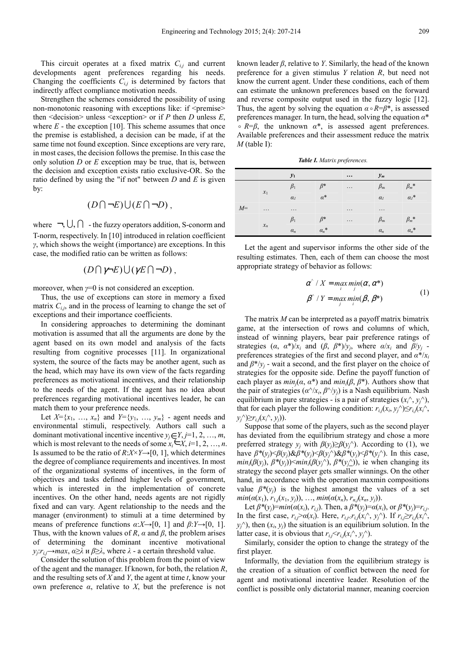This circuit operates at a fixed matrix *Ci,j* and current developments agent preferences regarding his needs. Changing the coefficients  $C_{i,j}$  is determined by factors that indirectly affect compliance motivation needs.

Strengthen the schemes considered the possibility of using non-monotonic reasoning with exceptions like: if  $\leq$  premise $\geq$ then  $\leq$  decision $\geq$  unless  $\leq$  exception $\geq$  or if *P* then *D* unless *E*, where  $E$  - the exception [10]. This scheme assumes that once the premise is established, a decision can be made, if at the same time not found exception. Since exceptions are very rare, in most cases, the decision follows the premise. In this case the only solution *D* or *E* exception may be true, that is, between the decision and exception exists ratio exclusive-OR. So the ratio defined by using the "if not" between *D* and *E* is given by:

$$
(D\bigcap \neg E)\bigcup (E\bigcap \neg D),
$$

where  $\neg, \bigcup, \bigcap$  - the fuzzy operators addition, S-conorm and T-norm, respectively. In [10] introduced in relation coefficient *γ*, which shows the weight (importance) are exceptions. In this case, the modified ratio can be written as follows:

$$
(D \cap \gamma \neg E) \cup (\gamma E \cap \neg D),
$$

,

moreover, when *γ*=0 is not considered an exception.

Thus, the use of exceptions can store in memory a fixed matrix  $C_{i,j}$ , and in the process of learning to change the set of exceptions and their importance coefficients.

In considering approaches to determining the dominant motivation is assumed that all the arguments are done by the agent based on its own model and analysis of the facts resulting from cognitive processes [11]. In organizational system, the source of the facts may be another agent, such as the head, which may have its own view of the facts regarding preferences as motivational incentives, and their relationship to the needs of the agent. If the agent has no idea about preferences regarding motivational incentives leader, he can match them to your preference needs.

Let  $X = \{x_1, \ldots, x_n\}$  and  $Y = \{y_1, \ldots, y_m\}$  - agent needs and environmental stimuli, respectively. Authors call such a dominant motivational incentive incentive  $y_i \in Y, j=1, 2, ..., m$ , which is most relevant to the needs of some  $x_i \in X$ ,  $i=1, 2, ..., n$ . Is assumed to be the ratio of  $R: X \times Y \rightarrow [0, 1]$ , which determines the degree of compliance requirements and incentives. In most of the organizational systems of incentives, in the form of objectives and tasks defined higher levels of government, which is interested in the implementation of concrete incentives. On the other hand, needs agents are not rigidly fixed and can vary. Agent relationship to the needs and the manager (environment) to stimuli at a time determined by means of preference functions  $\alpha: X \rightarrow [0, 1]$  and  $\beta: Y \rightarrow [0, 1]$ . Thus, with the known values of *R*, *α* and *β*, the problem arises of determining the dominant incentive motivational *yj* :*ri,j*→*max*, *α*≥*λ* и *β*≥*λ*, where *λ* - a certain threshold value.

Consider the solution of this problem from the point of view of the agent and the manager. If known, for both, the relation *R*, and the resulting sets of *X* and *Y*, the agent at time *t*, know your own preference *α*, relative to *X*, but the preference is not

known leader *β*, relative to *Y*. Similarly, the head of the known preference for a given stimulus *Y* relation *R*, but need not know the current agent. Under these conditions, each of them can estimate the unknown preferences based on the forward and reverse composite output used in the fuzzy logic [12]. Thus, the agent by solving the equation  $\alpha \circ R = \beta^*$ , is assessed preferences manager. In turn, the head, solving the equation *α*\*  $R = β$ , the unknown *α*<sup>\*</sup>, is assessed agent preferences. Available preferences and their assessment reduce the matrix  $M$  (table I):

*Table I. Matrix preferences.* 

|      |          | $y_1$      |            | $\cdots$ | $y_m$                 |                |
|------|----------|------------|------------|----------|-----------------------|----------------|
|      |          | $p_1$      | $\beta^*$  | $\cdots$ | $\beta_{\rm m}$       | $\beta_m$ *    |
|      | $x_1$    | $\alpha_I$ | $\alpha^*$ |          | $\alpha$ <sub>I</sub> | $\alpha_i^*$   |
| $M=$ | $\cdots$ | $\cdots$   |            | $\cdots$ | .                     |                |
|      | $x_n$    | $\beta_1$  | $\beta^*$  | $\cdots$ | $\beta_{\rm m}$       | $\beta_m$ *    |
|      |          | $\alpha_n$ | $a_n^*$    |          | $\alpha_n$            | ${\alpha_n}^*$ |

Let the agent and supervisor informs the other side of the resulting estimates. Then, each of them can choose the most appropriate strategy of behavior as follows:

$$
\alpha^{\hat{ }} / X = \max_{i} \min_{j} (\alpha, \alpha^*)
$$
  

$$
\beta^{\hat{ }} / Y = \max_{j} \min_{i} (\beta, \beta^*)
$$
 (1)

The matrix *M* can be interpreted as a payoff matrix bimatrix game, at the intersection of rows and columns of which, instead of winning players, bear pair preference ratings of strategies  $(\alpha, \alpha^*)/x_i$  and  $(\beta, \beta^*)/y_j$ , where  $\alpha/x_i$  and  $\beta/y_j$  preferences strategies of the first and second player, and  $\alpha^*/x_i$ and  $\beta^*/y_j$  - wait a second, and the first player on the choice of strategies for the opposite side. Define the payoff function of each player as  $min_i(\alpha, \alpha^*)$  and  $min_i(\beta, \beta^*)$ . Authors show that the pair of strategies  $(\alpha^{\wedge}/x_i, \beta^{\wedge}/y_j)$  is a Nash equilibrium. Nash equilibrium in pure strategies - is a pair of strategies  $(x_i^{\wedge}, y_j^{\wedge})$ , that for each player the following condition:  $r_{i,j}(x_i, y_j) \le r_{i,j}(x_i)$ , *y*<sup>*j*</sup>)≥*r*<sub>*i*</sub>*j*(*x*<sub>*i*</sub><sup> $\land$ </sup>, *y<sub>i</sub>*)).

Suppose that some of the players, such as the second player has deviated from the equilibrium strategy and chose a more preferred strategy  $y_j$  with  $\beta(y_j) \geq \beta(y_j)$ . According to (1), we have  $\beta^*(y_j) \le \beta(y_j) \& \beta^*(y_j) \le \beta(y_j) \& \beta^*(y_j) \le \beta^*(y_j) \le \beta$ . In this case, *min*<sub>*i*</sub>( $\beta(y_j)$ ,  $\beta^*(y_j)$ ) <*min<sub>i</sub>*( $\beta(y_j)$ <sup>,</sup>),  $\beta^*(y_j)$ ), ie when changing its strategy the second player gets smaller winnings. On the other hand, in accordance with the operation maxmin compositions value  $\beta^*(y_i)$  is the highest amongst the values of a set  $min(\alpha(x_1), r_1, (x_1, y_i)), \ldots, min(\alpha(x_n), r_n, (x_n, y_i)).$ 

Let  $\beta^*(y_i) = min(\alpha(x_i), r_{i,i})$ . Then, a  $\beta^*(y_i) = \alpha(x_i)$ , or  $\beta^*(y_i) = r_{i,i}$ . In the first case, *ri,j*>*α*(*xi*). Here, *ri,j*<*ri,j*(*xi*^, *yj*^). If *ri,j*≥*ri,j*(*xi*^,  $y_j^{\wedge}$ ), then  $(x_i, y_j)$  the situation is an equilibrium solution. In the latter case, it is obvious that  $r_{i,j} < r_{i,j}(x_i \wedge y_j \wedge)$ .

Similarly, consider the option to change the strategy of the first player.

Informally, the deviation from the equilibrium strategy is the creation of a situation of conflict between the need for agent and motivational incentive leader. Resolution of the conflict is possible only dictatorial manner, meaning coercion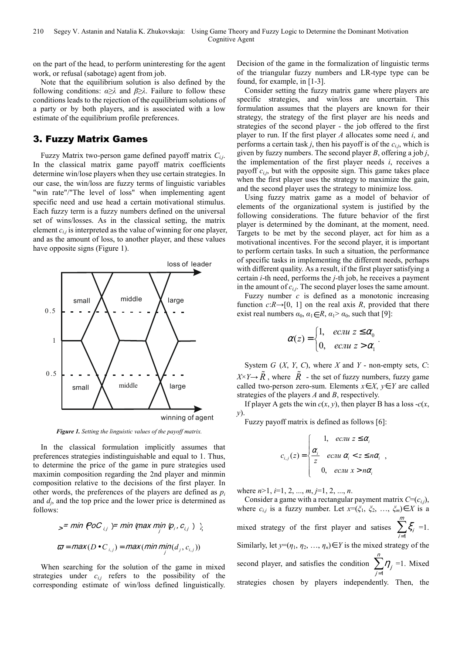on the part of the head, to perform uninteresting for the agent work, or refusal (sabotage) agent from job.

Note that the equilibrium solution is also defined by the following conditions: *α*≥*λ* and *β*≥*λ*. Failure to follow these conditions leads to the rejection of the equilibrium solutions of a party or by both players, and is associated with a low estimate of the equilibrium profile preferences.

## 3. Fuzzy Matrix Games

Fuzzy Matrix two-person game defined payoff matrix *Ci,j*. In the classical matrix game payoff matrix coefficients determine win/lose players when they use certain strategies. In our case, the win/loss are fuzzy terms of linguistic variables "win rate"/"The level of loss" when implementing agent specific need and use head a certain motivational stimulus. Each fuzzy term is a fuzzy numbers defined on the universal set of wins/losses. As in the classical setting, the matrix element  $c_{i,j}$  is interpreted as the value of winning for one player, and as the amount of loss, to another player, and these values have opposite signs (Figure 1).



*Figure 1. Setting the linguistic values of the payoff matrix.*

In the classical formulation implicitly assumes that preferences strategies indistinguishable and equal to 1. Thus, to determine the price of the game in pure strategies used maximin composition regarding the 2nd player and minmin composition relative to the decisions of the first player. In other words, the preferences of the players are defined as *p<sup>i</sup>* and  $d_j$ , and the top price and the lower price is determined as follows:

$$
s = \min \, \text{PoC}_{i,j} \, \text{P} \, \min \, \text{max} \, \min_j \, \text{Q}_i, \, \text{C}_{i,j} \, \text{C}_{i,j}
$$
\n
$$
\varpi = \max(D \bullet C_{i,j}) = \max(\min \, \min_j (d_j, c_{i,j}))
$$

When searching for the solution of the game in mixed strategies under  $c_{i,j}$  refers to the possibility of the corresponding estimate of win/loss defined linguistically. Decision of the game in the formalization of linguistic terms of the triangular fuzzy numbers and LR-type type can be found, for example, in [1-3].

Consider setting the fuzzy matrix game where players are specific strategies, and win/loss are uncertain. This formulation assumes that the players are known for their strategy, the strategy of the first player are his needs and strategies of the second player - the job offered to the first player to run. If the first player *A* allocates some need *i*, and performs a certain task  $j$ , then his payoff is of the  $c_{i,j}$ , which is given by fuzzy numbers. The second player *B*, offering a job *j*, the implementation of the first player needs *i*, receives a payoff *ci,j*, but with the opposite sign. This game takes place when the first player uses the strategy to maximize the gain, and the second player uses the strategy to minimize loss.

Using fuzzy matrix game as a model of behavior of elements of the organizational system is justified by the following considerations. The future behavior of the first player is determined by the dominant, at the moment, need. Targets to be met by the second player, act for him as a motivational incentives. For the second player, it is important to perform certain tasks. In such a situation, the performance of specific tasks in implementing the different needs, perhaps with different quality. As a result, if the first player satisfying a certain *i*-th need, performs the *j-*th job, he receives a payment in the amount of  $c_{i,j}$ . The second player loses the same amount.

Fuzzy number *c* is defined as a monotonic increasing function  $c: R \rightarrow [0, 1]$  on the real axis *R*, provided that there exist real numbers  $\alpha_0$ ,  $\alpha_1 \in R$ ,  $\alpha_1 > \alpha_0$ , such that [9]:

$$
\alpha(z) = \begin{cases} 1, & \text{icall } z \le \alpha_0 \\ 0, & \text{icall } z > \alpha_1 \end{cases}.
$$

System  $G$  ( $X$ ,  $Y$ ,  $C$ ), where  $X$  and  $Y$  - non-empty sets,  $C$ :  $X \times Y \to \tilde{R}$ , where  $\tilde{R}$  - the set of fuzzy numbers, fuzzy game called two-person zero-sum. Elements  $x \in X$ ,  $y \in Y$  are called strategies of the players *A* and *B*, respectively.

If player A gets the win  $c(x, y)$ , then player B has a loss  $-c(x, y)$ *y*).

Fuzzy payoff matrix is defined as follows [6]:

$$
c_{i,j}(z) = \begin{cases} 1, & e\text{ in } z \le \alpha_i \\ \frac{\alpha_i}{z} & e\text{ in } \alpha_i < z \le n\alpha_i \\ 0, & e\text{ in } x > n\alpha_i \end{cases}
$$

,

where *n*>1, *i*=1, 2, ..., *m*, *j*=1, 2, ..., *n*.

Consider a game with a rectangular payment matrix  $C=(c_{i,j})$ , where  $c_{i,j}$  is a fuzzy number. Let  $x=(\xi_1, \xi_2, ..., \xi_m) \in X$  is a mixed strategy of the first player and satises  $\sum_i$   $\zeta_i$  =1. Similarly, let  $y=(\eta_1, \eta_2, ..., \eta_n) \in Y$  is the mixed strategy of the second player, and satisfies the condition  $\sum \eta_i =1$ . Mixed strategies chosen by players independently. Then, the  $\overline{1}$ m  $\sum\limits_{}^{\mathbf{m}}\mathbf{\mathcal{E}_{i}}$ i = 1n  $\sum' \! \eta_{_j}$ j =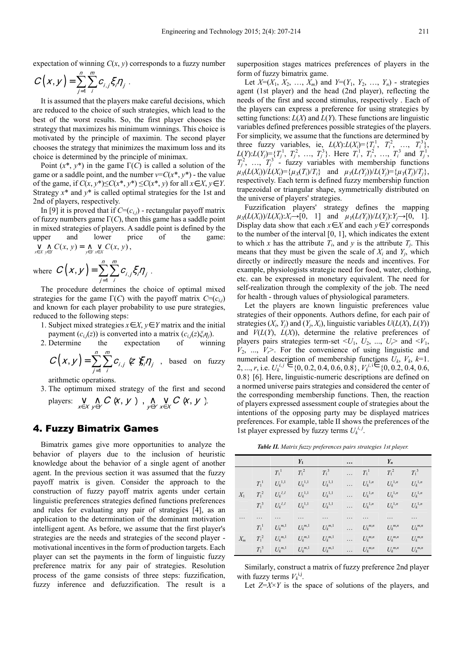expectation of winning  $C(x, y)$  corresponds to a fuzzy number

$$
C(x,y)=\sum_{j=1}^n\sum_{i}^m c_{i,j}\xi_i\eta_j.
$$

It is assumed that the players make careful decisions, which are reduced to the choice of such strategies, which lead to the best of the worst results. So, the first player chooses the strategy that maximizes his minimum winnings. This choice is motivated by the principle of maximin. The second player chooses the strategy that minimizes the maximum loss and its choice is determined by the principle of minimax.

Point  $(x^*, y^*)$  in the game  $\Gamma(C)$  is called a solution of the game or a saddle point, and the number  $v = C(x^*, y^*)$  - the value of the game, if  $C(x, y^*) \leq C(x^*, y^*) \leq C(x^*, y)$  for all  $x \in X, y \in Y$ . Strategy *x*\* and *y*\* is called optimal strategies for the 1st and 2nd of players, respectively.

In [9] it is proved that if  $C=(c_{i,j})$  - rectangular payoff matrix of fuzzy numbers game  $\Gamma(C)$ , then this game has a saddle point in mixed strategies of players. A saddle point is defined by the upper and lower price of the game:  $\bigvee_{x \in X} \bigwedge_{y \in Y} C(x, y) = \bigwedge_{y \in Y} \bigvee_{x \in X} C(x, y)$ ,

where 
$$
C(x, y) = \sum_{j=1}^{n} \sum_{i}^{m} c_{i,j} \xi_{i} \eta_{j}
$$
.

The procedure determines the choice of optimal mixed strategies for the game  $\Gamma(C)$  with the payoff matrix  $C=(c_{i,j})$ and known for each player probability to use pure strategies, reduced to the following steps:

- 1. Subject mixed strategies *x*∈*X*, *y*∈*Y* matrix and the initial
- payment  $(c_{i,j}(z))$  is converted into a matrix  $(c_{i,j}(z)\xi_i\eta_j)$ .<br>Determine the expectation of winn 2. Determine the expectation of winning n m

$$
C(x, y) = \sum_{j=1}^{n} \sum_{j=1}^{m} c_{i,j} \not\in \xi_j \eta_j
$$
, based on fuzzy

arithmetic operations.

3. The optimum mixed strategy of the first and second players:  $\bigvee_{x \in X} \bigwedge_{y \in Y} C(x, y)$ ,  $\bigwedge_{y \in Y} \bigvee_{x \in X} C(x, y)$ .

#### 4. Fuzzy Bimatrix Games

Bimatrix games give more opportunities to analyze the behavior of players due to the inclusion of heuristic knowledge about the behavior of a single agent of another agent. In the previous section it was assumed that the fuzzy payoff matrix is given. Consider the approach to the construction of fuzzy payoff matrix agents under certain linguistic preferences strategies defined functions preferences and rules for evaluating any pair of strategies [4], as an application to the determination of the dominant motivation intelligent agent. As before, we assume that the first player's strategies are the needs and strategies of the second player motivational incentives in the form of production targets. Each player can set the payments in the form of linguistic fuzzy preference matrix for any pair of strategies. Resolution process of the game consists of three steps: fuzzification, fuzzy inference and defuzzification. The result is a superposition stages matrices preferences of players in the form of fuzzy bimatrix game.

Let  $X=(X_1, X_2, ..., X_m)$  and  $Y=(Y_1, Y_2, ..., Y_n)$  - strategies agent (1st player) and the head (2nd player), reflecting the needs of the first and second stimulus, respectively . Each of the players can express a preference for using strategies by setting functions: *L*(*X*) and *L*(*Y*). These functions are linguistic variables defined preferences possible strategies of the players. For simplicity, we assume that the functions are determined by three fuzzy variables, ie,  $L(X): L(X_i) = \{T_i^1, T_i^2, \ldots, T_i^3\},$ *L*(*Y*):*L*(*Y<sub>j</sub>*)={ $T$ <sup>*j*</sup>,  $T$ <sup>*j*</sup>, …,  $T$ <sup>3</sup><sub>j</sub>}. Here  $T$ <sup>*i*</sup>,  $T$ <sup>2</sup>, …,  $T$ <sup>3</sup> and  $T$ <sup>*j*</sup>,  $T_j^2$ , ...,  $T_j^3$  - fuzzy variables with membership functions  $\mu_X(L(X_i))/L(X_i) = {\mu_X(T_i)/T_i}$  and  $\mu_Y(L(Y_i))/L(Y_i) = {\mu_Y(T_i)/T_i}$ , respectively. Each term is defined fuzzy membership function trapezoidal or triangular shape, symmetrically distributed on the universe of players' strategies.

Fuzzification players' strategy defines the mapping  $\mu_X(L(X_i))/L(X_i): X_i \to [0, 1]$  and  $\mu_Y(L(Y_i))/L(Y_i): Y_i \to [0, 1]$ . Display data show that each  $x \in X$  and each  $y \in Y$  corresponds to the number of the interval [0, 1], which indicates the extent to which *x* has the attribute  $T_i$ , and *y* is the attribute  $T_j$ . This means that they must be given the scale of  $X_i$  and  $Y_j$ , which directly or indirectly measure the needs and incentives. For example, physiologists strategic need for food, water, clothing, etc. can be expressed in monetary equivalent. The need for self-realization through the complexity of the job. The need for health - through values of physiological parameters.

Let the players are known linguistic preferences value strategies of their opponents. Authors define, for each pair of strategies  $(X_i, Y_j)$  and  $(Y_j, X_i)$ , linguistic variables  $U(L(X), L(Y))$ and  $V(L(Y), L(X))$ , determine the relative preferences of players pairs strategies term-set  $\langle U_1, U_2, ..., U_r \rangle$  and  $\langle V_1, V_2, ..., V_r \rangle$  $V_2$ , ...,  $V_1$  For the convenience of using linguistic and numerical description of membership functions  $U_k$ ,  $V_k$ ,  $k=1$ . 2, ..., *r*, i.e.  $U_k^{i,j} \in \{0, 0.2, 0.4, 0.6, 0.8\}, V_k^{j,i} \in \{0, 0.2, 0.4, 0.6,$ 0.8} [6]. Here, linguistic-numeric descriptions are defined on a normed universe pairs strategies and considered the center of the corresponding membership functions. Then, the reaction of players expressed assessment couple of strategies about the intentions of the opposing party may be displayed matrices preferences. For example, table II shows the preferences of the 1st player expressed by fuzzy terms  $U_k^{i,j}$ .

*Table II. Matrix fuzzy preferences pairs strategies 1st player.* 

|       |                             |               | $Y_1$         |               | $\bullet\bullet\bullet$ |             | $Y_n$       |                             |
|-------|-----------------------------|---------------|---------------|---------------|-------------------------|-------------|-------------|-----------------------------|
|       |                             | $T_1^1$       | $T_1^2$       | $T_1^3$       | .                       | $T_1^1$     | $T_1^2$     | T <sub>1</sub> <sup>3</sup> |
|       | $T_1^1$                     | $U_k^{1,1}$   | $U_k^{1,1}$   | $U_k^{1,1}$   | .                       | $U_k^{1,n}$ | $U_k^{1,n}$ | $U_k^{1,n}$                 |
| $X_1$ | T <sub>1</sub> <sup>2</sup> | $U_k{}^{l,l}$ | $U_{k}^{1,1}$ | $U_k^{1,1}$   | .                       | $U_k^{1,n}$ | $U_k^{1,n}$ | $U_k^{1,n}$                 |
|       | $T_1^3$                     | $U_k^{I,I}$   | $U_{k}^{1,1}$ | $U_{k}^{1,1}$ | .                       | $U_k^{1,n}$ | $U_k^{1,n}$ | $U_k^{1,n}$                 |
| .     |                             | .             | .             | .             | .                       | .           | .           | .                           |
|       | $T_1^1$                     | $U_k^{m,1}$   | $U_k^{m,1}$   | $U_k^{m,1}$   | .                       | $U_k^{m,n}$ | $U_k^{m,n}$ | $U_k^{m,n}$                 |
| $X_m$ | $T_1^2$                     | $U_k^{m,1}$   | $U_k^{m,1}$   | $U_k^{m,1}$   | .                       | $U_k^{m,n}$ | $U_k^{m,n}$ | $U_k^{m,n}$                 |
|       | T <sub>1</sub> <sup>3</sup> | $U_k^{m,1}$   | $U_k^{m,1}$   | $U_k^{m,1}$   | .                       | $U_k^{m,n}$ | $U_k^{m,n}$ | $U_k^{m,n}$                 |

Similarly, construct a matrix of fuzzy preference 2nd player with fuzzy terms  $V_k^{i,j}$ .

Let *Z*=*X*×*Y* is the space of solutions of the players, and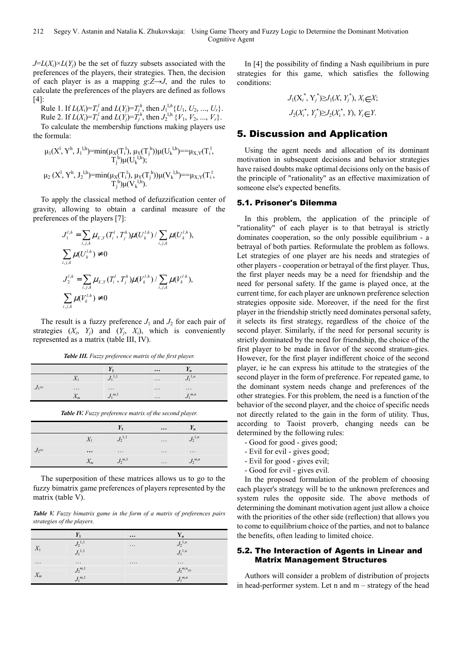$J=L(X_i)\times L(Y_i)$  be the set of fuzzy subsets associated with the preferences of the players, their strategies. Then, the decision of each player is as a mapping  $g:Z\rightarrow J$ , and the rules to calculate the preferences of the players are defined as follows [4]:

Rule 1. If  $L(X_i) = T_i^l$  and  $L(Y_j) = T_j^h$ , then  $J_1^{l,h} \{U_1, U_2, ..., U_r\}$ . Rule 2. If  $L(X_i) = T_i^l$  and  $L(Y_j) = T_j^h$ , then  $J_2^{l,h}$  { $V_1, V_2, ..., V_r$ }.

To calculate the membership functions making players use the formula:

$$
\begin{aligned} & \mu_l(X^l,Y^h,J_1^{l,h})\!\!=\!\!\text{min}(\mu_X(T_i^l),\mu_Y(T_j^h))\mu(U_k^{l,h})\!\!=\!\!\text{max}_{X,Y}(T_i^l,\\ &\hspace{5mm}T_j^h)\mu(U_k^{l,h});\\ & \mu_2(X^l,Y^h,J_2^{l,h})\!\!=\!\!\text{min}(\mu_X(T_i^l),\mu_Y(T_j^h))\mu(V_k^{l,h})\!\!=\!\!\text{max}_{X,Y}(T_i^l,\\ &\hspace{5mm}T_j^h)\mu(V_k^{l,h}). \end{aligned}
$$

To apply the classical method of defuzzification center of gravity, allowing to obtain a cardinal measure of the preferences of the players [7]:

$$
J_1^{l,h} = \sum_{i,j,k} \mu_{X,Y}(T_i^l, T_j^h) \mu(U_k^{l,h}) / \sum_{i,j,k} \mu(U_k^{l,h}),
$$
  

$$
\sum_{i,j,k} \mu(U_k^{l,h}) \neq 0
$$
  

$$
J_2^{l,h} = \sum_{i,j,k} \mu_{X,Y}(T_i^l, T_j^h) \mu(V_k^{l,h}) / \sum_{i,j,k} \mu(V_k^{l,h}),
$$
  

$$
\sum_{i,j,k} \mu(V_k^{l,h}) \neq 0
$$

The result is a fuzzy preference  $J_1$  and  $J_2$  for each pair of strategies  $(X_i, Y_j)$  and  $(Y_j, X_i)$ , which is conveniently represented as a matrix (table III, IV).

*Table III. Fuzzy preference matrix of the first player.* 

|                                                  |             |                     | $\cdots$          | $n_{n}$     |
|--------------------------------------------------|-------------|---------------------|-------------------|-------------|
|                                                  | - 1         | 1.1                 | $\cdots$          | $I^{1,n}$   |
| $\qquad \qquad \blacksquare$<br>$\boldsymbol{J}$ | $\cdots$    | $\cdot \cdot \cdot$ | $\cdots$          | $\cdots$    |
|                                                  | $\Lambda_m$ | $L^{m,1}$           | $\cdot\cdot\cdot$ | $J_1^{m,n}$ |

*Table IV. Fuzzy preference matrix of the second player.* 

|        |             | I <sub>1</sub> | $\cdots$ | $n_{n}$           |
|--------|-------------|----------------|----------|-------------------|
|        | $\Lambda_1$ | $J_2^{1,1}$    | $\cdots$ | $J_2^{1,n}$       |
| $J_2=$ | $\cdots$    | $\cdots$       | $\cdots$ | $\cdot\cdot\cdot$ |
|        | $\Lambda_m$ | $J_2^{m,1}$    | $\cdots$ | $J_2^{m,n}$       |

The superposition of these matrices allows us to go to the fuzzy bimatrix game preferences of players represented by the matrix (table V).

*Table V. Fuzzy bimatrix game in the form of a matrix of preferences pairs strategies of the players.* 

|                     |                            | $\cdots$ | $\mathbf{Y}_n$               |
|---------------------|----------------------------|----------|------------------------------|
|                     | $J_2^{1,1}$<br>$J_1^{1,1}$ | $\cdots$ | $J_2^{1,n}$<br>$J_1^{1,n}$   |
| $\Lambda$           |                            |          |                              |
| $\cdot \cdot \cdot$ | $\cdots$                   | $\cdots$ | $\cdots$                     |
|                     | $J_2^{m,1}$                |          | $J_2^{m,n} =$<br>$J_1^{m,n}$ |
| $\Lambda_m$         | $J_1^{m,1}$                |          |                              |

In [4] the possibility of finding a Nash equilibrium in pure strategies for this game, which satisfies the following conditions:

$$
J_1(X_i^*, Y_j^*) \ge J_1(X, Y_j^*), X_i \in X;
$$
  

$$
J_2(X_i^*, Y_j^*) \ge J_2(X_i^*, Y), Y_i \in Y.
$$

#### 5. Discussion and Application

Using the agent needs and allocation of its dominant motivation in subsequent decisions and behavior strategies have raised doubts make optimal decisions only on the basis of the principle of "rationality" as an effective maximization of someone else's expected benefits.

#### 5.1. Prisoner's Dilemma

In this problem, the application of the principle of "rationality" of each player is to that betrayal is strictly dominates cooperation, so the only possible equilibrium - a betrayal of both parties. Reformulate the problem as follows. Let strategies of one player are his needs and strategies of other players - cooperation or betrayal of the first player. Thus, the first player needs may be a need for friendship and the need for personal safety. If the game is played once, at the current time, for each player are unknown preference selection strategies opposite side. Moreover, if the need for the first player in the friendship strictly need dominates personal safety, it selects its first strategy, regardless of the choice of the second player. Similarly, if the need for personal security is strictly dominated by the need for friendship, the choice of the first player to be made in favor of the second stratum-gies. However, for the first player indifferent choice of the second player, ie he can express his attitude to the strategies of the second player in the form of preference. For repeated game, to the dominant system needs change and preferences of the other strategies. For this problem, the need is a function of the behavior of the second player, and the choice of specific needs not directly related to the gain in the form of utility. Thus, according to Taoist proverb, changing needs can be determined by the following rules:

- Good for good gives good;
- Evil for evil gives good;
- Evil for good gives evil;
- Good for evil gives evil.

In the proposed formulation of the problem of choosing each player's strategy will be to the unknown preferences and system rules the opposite side. The above methods of determining the dominant motivation agent just allow a choice with the priorities of the other side (reflection) that allows you to come to equilibrium choice of the parties, and not to balance the benefits, often leading to limited choice.

#### 5.2. The Interaction of Agents in Linear and Matrix Management Structures

Authors will consider a problem of distribution of projects in head-performer system. Let n and m – strategy of the head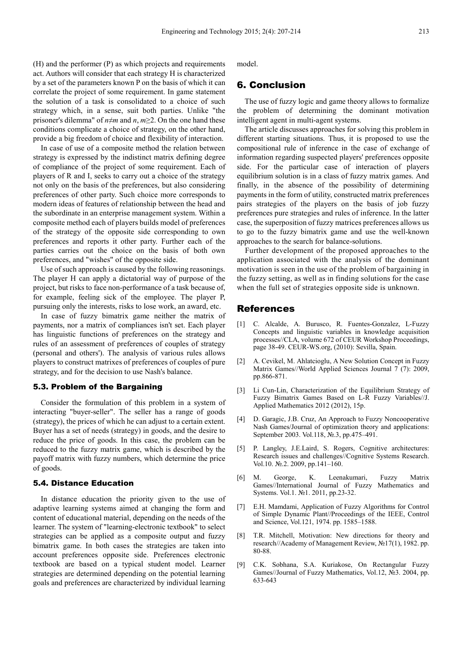(H) and the performer (P) as which projects and requirements act. Authors will consider that each strategy H is characterized by a set of the parameters known P on the basis of which it can correlate the project of some requirement. In game statement the solution of a task is consolidated to a choice of such strategy which, in a sense, suit both parties. Unlike "the prisoner's dilemma" of  $n \neq m$  and  $n, m \geq 2$ . On the one hand these conditions complicate a choice of strategy, on the other hand, provide a big freedom of choice and flexibility of interaction.

In case of use of a composite method the relation between strategy is expressed by the indistinct matrix defining degree of compliance of the project of some requirement. Each of players of R and I, seeks to carry out a choice of the strategy not only on the basis of the preferences, but also considering preferences of other party. Such choice more corresponds to modern ideas of features of relationship between the head and the subordinate in an enterprise management system. Within a composite method each of players builds model of preferences of the strategy of the opposite side corresponding to own preferences and reports it other party. Further each of the parties carries out the choice on the basis of both own preferences, and "wishes" of the opposite side.

Use of such approach is caused by the following reasonings. The player H can apply a dictatorial way of purpose of the project, but risks to face non-performance of a task because of, for example, feeling sick of the employee. The player P, pursuing only the interests, risks to lose work, an award, etc.

In case of fuzzy bimatrix game neither the matrix of payments, nor a matrix of compliances isn't set. Each player has linguistic functions of preferences on the strategy and rules of an assessment of preferences of couples of strategy (personal and others'). The analysis of various rules allows players to construct matrixes of preferences of couples of pure strategy, and for the decision to use Nash's balance.

#### 5.3. Problem of the Bargaining

Consider the formulation of this problem in a system of interacting "buyer-seller". The seller has a range of goods (strategy), the prices of which he can adjust to a certain extent. Buyer has a set of needs (strategy) in goods, and the desire to reduce the price of goods. In this case, the problem can be reduced to the fuzzy matrix game, which is described by the payoff matrix with fuzzy numbers, which determine the price of goods.

#### 5.4. Distance Education

In distance education the priority given to the use of adaptive learning systems aimed at changing the form and content of educational material, depending on the needs of the learner. The system of "learning-electronic textbook" to select strategies can be applied as a composite output and fuzzy bimatrix game. In both cases the strategies are taken into account preferences opposite side. Preferences electronic textbook are based on a typical student model. Learner strategies are determined depending on the potential learning goals and preferences are characterized by individual learning model.

#### 6. Conclusion

The use of fuzzy logic and game theory allows to formalize the problem of determining the dominant motivation intelligent agent in multi-agent systems.

The article discusses approaches for solving this problem in different starting situations. Thus, it is proposed to use the compositional rule of inference in the case of exchange of information regarding suspected players' preferences opposite side. For the particular case of interaction of players equilibrium solution is in a class of fuzzy matrix games. And finally, in the absence of the possibility of determining payments in the form of utility, constructed matrix preferences pairs strategies of the players on the basis of job fuzzy preferences pure strategies and rules of inference. In the latter case, the superposition of fuzzy matrices preferences allows us to go to the fuzzy bimatrix game and use the well-known approaches to the search for balance-solutions.

Further development of the proposed approaches to the application associated with the analysis of the dominant motivation is seen in the use of the problem of bargaining in the fuzzy setting, as well as in finding solutions for the case when the full set of strategies opposite side is unknown.

#### References

- [1] C. Alcalde, A. Burusco, R. Fuentes-Gonzalez, L-Fuzzy Concepts and linguistic variables in knowledge acquisition processes//CLA, volume 672 of CEUR Workshop Proceedings, page 38-49. CEUR-WS.org, (2010): Sevilla, Spain.
- [2] A. Cevikel, M. Ahlatcioglu, A New Solution Concept in Fuzzy Matrix Games//World Applied Sciences Journal 7 (7): 2009, pp.866-871.
- [3] Li Cun-Lin, Characterization of the Equilibrium Strategy of Fuzzy Bimatrix Games Based on L-R Fuzzy Variables//J. Applied Mathematics 2012 (2012), 15p.
- [4] D. Garagic, J.B. Cruz, An Approach to Fuzzy Noncooperative Nash Games/Journal of optimization theory and applications: September 2003. Vol.118, №.3, pp.475–491.
- [5] P. Langley, J.E.Laird, S. Rogers, Cognitive architectures: Research issues and challenges//Cognitive Systems Research. Vol.10. №.2. 2009, pp.141–160.
- [6] M. George, K. Leenakumari, Fuzzy Matrix Games//International Journal of Fuzzy Mathematics and Systems. Vol.1. №1. 2011, pp.23-32.
- [7] E.H. Mamdami, Application of Fuzzy Algorithms for Control of Simple Dynamic Plant//Proceedings of the IEEE, Control and Science, Vol.121, 1974. pp. 1585–1588.
- [8] T.R. Mitchell, Motivation: New directions for theory and research//Academy of Management Review, №17(1), 1982. pp. 80-88.
- [9] C.K. Sobhana, S.A. Kuriakose, On Rectangular Fuzzy Games//Journal of Fuzzy Mathematics, Vol.12, №3. 2004, pp. 633-643